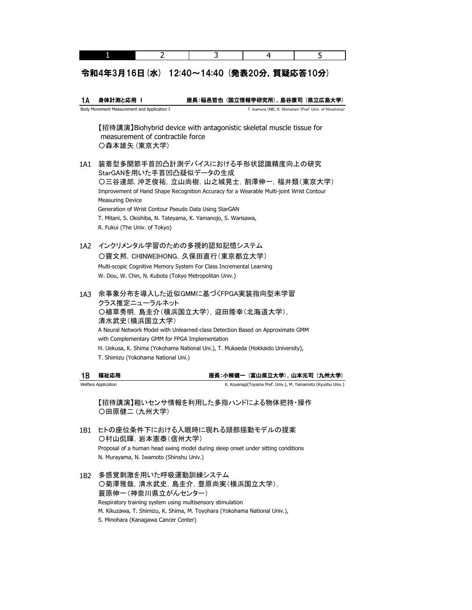#### 令和4年3月16日(水) 12:40~14:40 (発表20分,質疑応答10分)

1A 身体計測と応用 Ⅰ T. Inamura (NII), K. Shimatani (Pref. Univ. of Hiroshima) 座長:稲邑哲也 (国立情報学研究所),島谷康司 (県立広島大学) Body Movement Measurement and Application I

【招待講演】Biohybrid device with antagonistic skeletal muscle tissue for 〇森本雄矢 (東京大学) measurement of contractile force

- 1A1 装着型多関節手首凹凸計測デバイスにおける手形状認識精度向上の研究 StarGANを用いた手首凹凸疑似データの生成 Generation of Wrist Contour Pseudo Data Using StarGAN 〇三谷達郎, 沖芝俊祐,立山尚樹,山之城晃士,割澤伸一,福井類(東京大学) Improvement of Hand Shape Recognition Accuracy for a Wearable Multi-joint Wrist Contour Measuring Device T. Mitani, S. Okishiba, N. Tateyama, K. Yamanojo, S. Warisawa, R. Fukui (The Univ. of Tokyo)
- 1A2 インクリメンタル学習のための多視的認知記憶システム W. Dou, W. Chin, N. Kubota (Tokyo Metropolitan Univ.) 〇竇文邦,CHINWEIHONG,久保田直行(東京都立大学) Multi-scopic Cognitive Memory System For Class Incremental Learning
- 1A3 余事象分布を導入した近似GMMに基づくFPGA実装指向型未学習 H. Uekusa, K. Shima (Yokohama National Uni.), T. Mukaeda (Hokkaido University), T. Shimizu (Yokohama National Uni.) クラス推定ニューラルネット 〇植草秀明,島圭介(横浜国立大学),迎田隆幸(北海道大学), 清水武史(横浜国立大学) A Neural Network Model with Unlearned-class Detection Based on Approximate GMM with Complementary GMM for FPGA Implementation

| 18 福祉応用             | 座長:小柳健一(富山県立大学),山本元司(九州大学)                                  |  |
|---------------------|-------------------------------------------------------------|--|
| Welfare Application | K. Koyanagi(Toyama Pref. Univ.), M. Yamamoto (Kyushu Univ.) |  |

【招待講演】粗いセンサ情報を利用した多指ハンドによる物体把持・操作 〇田原健二 (九州大学)

- 1B1 ヒトの座位条件下における入眠時に現れる頭部揺動モデルの提案 〇村山侃暉,岩本憲泰(信州大学) Proposal of a human head swing model during sleep onset under sitting conditions N. Murayama, N. Iwamoto (Shinshu Univ.)
- 1B2 多感覚刺激を用いた呼吸運動訓練システム S. Minohara (Kanagawa Cancer Center) 〇菊澤雅哉,清水武史,島圭介,豊原尚実(横浜国立大学), Respiratory training system using multisensory stimulation M. Kikuzawa, T. Shimizu, K. Shima, M. Toyohara (Yokohama National Univ.), 蓑原伸一(神奈川県立がんセンター)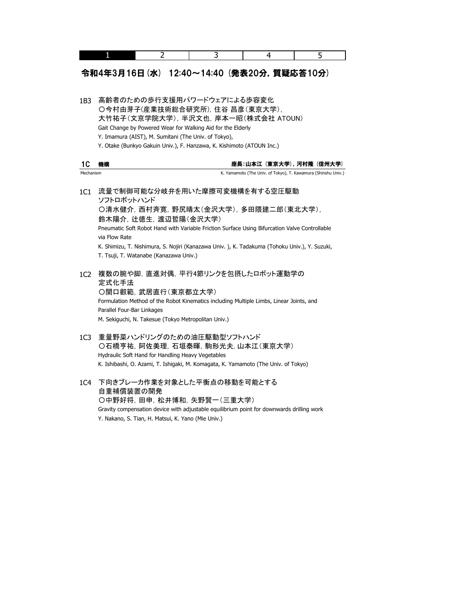|                 | 2<br>1                                                                                                                                                                                                                                                                                                                                                                     | 3 | 4                                                             | 5 |
|-----------------|----------------------------------------------------------------------------------------------------------------------------------------------------------------------------------------------------------------------------------------------------------------------------------------------------------------------------------------------------------------------------|---|---------------------------------------------------------------|---|
|                 | 令和4年3月16日 (水) 12:40~14:40 (発表20分, 質疑応答10分)                                                                                                                                                                                                                                                                                                                                 |   |                                                               |   |
| 1B <sub>3</sub> | 高齢者のための歩行支援用パワードウェアによる歩容変化<br>○今村由芽子(産業技術総合研究所), 住谷 昌彦(東京大学),<br>大竹祐子(文京学院大学), 半沢文也, 岸本一昭(株式会社 ATOUN)<br>Gait Change by Powered Wear for Walking Aid for the Elderly<br>Y. Imamura (AIST), M. Sumitani (The Univ. of Tokyo),<br>Y. Otake (Bunkyo Gakuin Univ.), F. Hanzawa, K. Kishimoto (ATOUN Inc.)                                                                      |   |                                                               |   |
| 1C              | 機構                                                                                                                                                                                                                                                                                                                                                                         |   | 座長:山本江(東京大学),河村隆(信州大学)                                        |   |
| Mechanism       |                                                                                                                                                                                                                                                                                                                                                                            |   | K. Yamamoto (The Univ. of Tokyo), T. Kawamura (Shinshu Univ.) |   |
| 1C1             | 流量で制御可能な分岐弁を用いた摩擦可変機構を有する空圧駆動<br>ソフトロボットハンド<br>〇清水健介, 西村斉寛, 野尻晴太(金沢大学), 多田隈建二郎(東北大学),<br>鈴木陽介, 辻徳生, 渡辺哲陽(金沢大学)<br>Pneumatic Soft Robot Hand with Variable Friction Surface Using Bifurcation Valve Controllable<br>via Flow Rate<br>K. Shimizu, T. Nishimura, S. Nojiri (Kanazawa Univ.), K. Tadakuma (Tohoku Univ.), Y. Suzuki,<br>T. Tsuji, T. Watanabe (Kanazawa Univ.) |   |                                                               |   |
| 1C <sub>2</sub> | 複数の腕や脚, 直進対偶, 平行4節リンクを包摂したロボット運動学の<br>定式化手法<br>○関口叡範, 武居直行(東京都立大学)<br>Formulation Method of the Robot Kinematics including Multiple Limbs, Linear Joints, and<br>Parallel Four-Bar Linkages<br>M. Sekiguchi, N. Takesue (Tokyo Metropolitan Univ.)                                                                                                                         |   |                                                               |   |
| 1C <sub>3</sub> | 重量野菜ハンドリングのための油圧駆動型ソフトハンド<br>○石橋亨祐, 阿佐美理, 石垣泰暉, 駒形光夫, 山本江(東京大学)<br>Hydraulic Soft Hand for Handling Heavy Vegetables<br>K. Ishibashi, O. Azami, T. Ishigaki, M. Komagata, K. Yamamoto (The Univ. of Tokyo)                                                                                                                                                                 |   |                                                               |   |

1C4 下向きブレーカ作業を対象とした平衡点の移動を可能とする 自重補償装置の開発 Gravity compensation device with adjustable equilibrium point for downwards drilling work 〇中野好将,田申,松井博和,矢野賢一(三重大学) Y. Nakano, S. Tian, H. Matsui, K. Yano (Mie Univ.)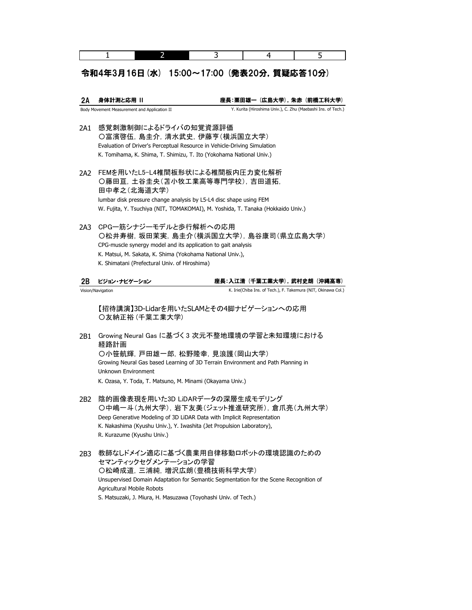### 令和4年3月16日(水) 15:00~17:00 (発表20分,質疑応答10分)

2A Body Movement Measurement and Application II 身体計測と応用 II インス インス エンス 座長:栗田雄一 (広島大学), 朱赤 (前橋工科大学) Y. Kurita (Hiroshima Univ.), C. Zhu (Maebashi Ins. of Tech.)

- 2A1 感覚刺激制御によるドライバの知覚資源評価 Evaluation of Driver's Perceptual Resource in Vehicle-Driving Simulation K. Tomihama, K. Shima, T. Shimizu, T. Ito (Yokohama National Univ.) 〇富濱啓伍,島圭介,清水武史,伊藤亨(横浜国立大学)
- 2A2 FEMを用いたL5-L4椎間板形状による椎間板内圧力変化解析 W. Fujita, Y. Tsuchiya (NIT, TOMAKOMAI), M. Yoshida, T. Tanaka (Hokkaido Univ.) 田中孝之(北海道大学) 〇藤田亘,土谷圭央(苫小牧工業高等専門学校),吉田道拓, lumbar disk pressure change analysis by L5-L4 disc shape using FEM
- 2A3 CPGー筋シナジーモデルと歩行解析への応用 〇松井寿樹,坂田茉実,島圭介(横浜国立大学),島谷康司(県立広島大学) CPG-muscle synergy model and its application to gait analysis K. Matsui, M. Sakata, K. Shima (Yokohama National Univ.), K. Shimatani (Prefectural Univ. of Hiroshima)

2B ビジョン・ナビゲーション

Vision/Navigation

座長:入江清 (千葉工業大学),武村史朗 (沖縄高専)

K. Irie(Chiba Ins. of Tech.), F. Takemura (NIT, Okinawa Col.)

〇友納正裕 (千葉工業大学) 【招待講演】3D-Lidarを用いたSLAMとその4脚ナビゲーションへの応用

- 2B1 Growing Neural Gas に基づく 3 次元不整地環境の学習と未知環境における Growing Neural Gas based Learning of 3D Terrain Environment and Path Planning in K. Ozasa, Y. Toda, T. Matsuno, M. Minami (Okayama Univ.) 〇小笹航輝,戸田雄一郎,松野隆幸,見浪護(岡山大学) 経路計画 Unknown Environment
- 2B2 陰的画像表現を用いた3D LiDARデータの深層生成モデリング K. Nakashima (Kyushu Univ.), Y. Iwashita (Jet Propulsion Laboratory), Deep Generative Modeling of 3D LiDAR Data with Implicit Representation R. Kurazume (Kyushu Univ.) 〇中嶋一斗(九州大学), 岩下友美(ジェット推進研究所), 倉爪亮(九州大学)
- 2B3 教師なしドメイン適応に基づく農業用自律移動ロボットの環境認識のための 〇松崎成道,三浦純,増沢広朗(豊橋技術科学大学) セマンティックセグメンテーションの学習 Unsupervised Domain Adaptation for Semantic Segmentation for the Scene Recognition of S. Matsuzaki, J. Miura, H. Masuzawa (Toyohashi Univ. of Tech.) Agricultural Mobile Robots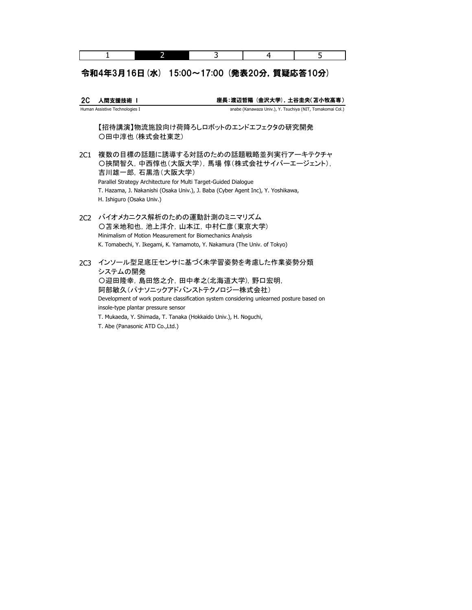|--|

## 令和4年3月16日(水) 15:00~17:00 (発表20分,質疑応答10分)

2C 人間支援技術 Ⅰ Human Assistive Technologies I 座長:渡辺哲陽 (金沢大学),土谷圭央(苫小牧高専) anabe (Kanawaza Univ.), Y. Tsuchiya (NIT, Tomakomai Col.)

【招待講演】物流施設向け荷降ろしロボットのエンドエフェクタの研究開発 〇田中淳也 (株式会社東芝)

- 2C1 複数の目標の話題に誘導する対話のための話題戦略並列実行アーキテクチャ H. Ishiguro (Osaka Univ.) 〇挾間智久,中西惇也(大阪大学),馬場 惇(株式会社サイバーエージェント), 吉川雄一郎,石黒浩(大阪大学) Parallel Strategy Architecture for Multi Target-Guided Dialogue T. Hazama, J. Nakanishi (Osaka Univ.), J. Baba (Cyber Agent Inc), Y. Yoshikawa,
- 2C2 バイオメカニクス解析のための運動計測のミニマリズム 〇苫米地和也,池上洋介,山本江,中村仁彦(東京大学) Minimalism of Motion Measurement for Biomechanics Analysis K. Tomabechi, Y. Ikegami, K. Yamamoto, Y. Nakamura (The Univ. of Tokyo)

2C3 インソール型足底圧センサに基づく未学習姿勢を考慮した作業姿勢分類 Development of work posture classification system considering unlearned posture based on T. Mukaeda, Y. Shimada, T. Tanaka (Hokkaido Univ.), H. Noguchi, 阿部敏久(パナソニックアドバンストテクノロジー株式会社) insole-type plantar pressure sensor T. Abe (Panasonic ATD Co.,Ltd.) 〇迎田隆幸,島田悠之介,田中孝之(北海道大学),野口宏明, システムの開発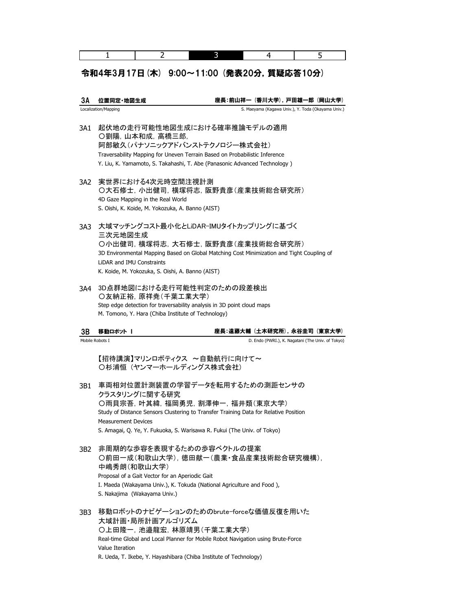#### 令和4年3月17日(木) 9:00~11:00 (発表20分,質疑応答10分)

3A 位置同定・地図生成 Localization/Mapping 座長:前山祥一 (香川大学),戸田雄一郎 (岡山大学) S. Maeyama (Kagawa Univ.), Y. Toda (Okayama Univ.)

- 3A1 起伏地の走行可能性地図生成における確率推論モデルの適用 Traversability Mapping for Uneven Terrain Based on Probabilistic Inference Y. Liu, K. Yamamoto, S. Takahashi, T. Abe (Panasonic Advanced Technology ) 阿部敏久(パナソニックアドバンストテクノロジー株式会社) 〇劉陽,山本和成,高橋三郎,
- 3A2 実世界における4次元時空間注視計測 4D Gaze Mapping in the Real World S. Oishi, K. Koide, M. Yokozuka, A. Banno (AIST) 〇大石修士,小出健司,横塚将志,阪野貴彦(産業技術総合研究所)
- 3A3 大域マッチングコスト最小化とLiDAR-IMUタイトカップリングに基づく 3D Environmental Mapping Based on Global Matching Cost Minimization and Tight Coupling of 三次元地図生成 LiDAR and IMU Constraints K. Koide, M. Yokozuka, S. Oishi, A. Banno (AIST) 〇小出健司,横塚将志,大石修士,阪野貴彦(産業技術総合研究所)
- 3A4 3D点群地図における走行可能性判定のための段差検出 M. Tomono, Y. Hara (Chiba Institute of Technology) 〇友納正裕,原祥尭(千葉工業大学) Step edge detection for traversability analysis in 3D point cloud maps

| 3B | 移動ロボット          | 座長:遠藤大輔(土木研究所),永谷圭司(東京大学)                         |
|----|-----------------|---------------------------------------------------|
|    | Mobile Robots I | D. Endo (PWRI.), K. Nagatani (The Univ. of Tokyo) |

【招待講演】マリンロボティクス ~自動航行に向けて~ 〇杉浦恒 (ヤンマーホールディングス株式会社)

- 3B1 車両相対位置計測装置の学習データを転用するための測距センサの クラスタリングに関する研究 Measurement Devices Study of Distance Sensors Clustering to Transfer Training Data for Relative Position S. Amagai, Q. Ye, Y. Fukuoka, S. Warisawa R. Fukui (The Univ. of Tokyo) 〇雨貝宗吾,叶其緯,福岡勇児,割澤伸一,福井類(東京大学)
- 3B2 非周期的な歩容を表現するための歩容ベクトルの提案 I. Maeda (Wakayama Univ.), K. Tokuda (National Agriculture and Food ), Proposal of a Gait Vector for an Aperiodic Gait ○前田一成(和歌山大学),徳田献一(農業・食品産業技術総合研究機構), 中嶋秀朗(和歌山大学) S. Nakajima (Wakayama Univ.)
- 3B3 移動ロボットのナビゲーションのためのbrute-forceな価値反復を用いた 大域計画・局所計画アルゴリズム Value Iteration 〇上田隆一,池邉龍宏,林原靖男(千葉工業大学) Real-time Global and Local Planner for Mobile Robot Navigation using Brute-Force R. Ueda, T. Ikebe, Y. Hayashibara (Chiba Institute of Technology)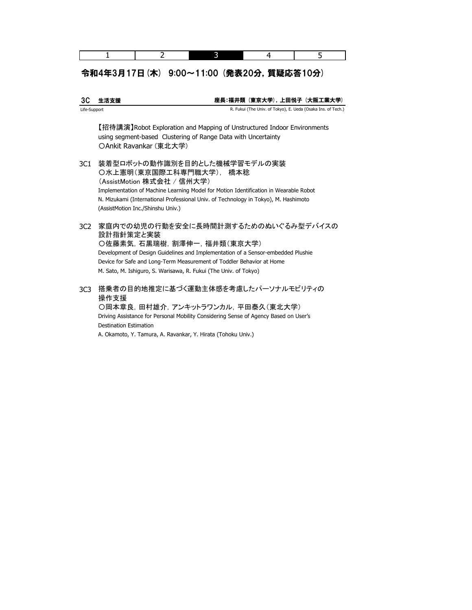# 令和4年3月17日(木) 9:00~11:00 (発表20分,質疑応答10分)

| ЗC           | 生活支援                                                                                                                                                                                                                                                                                                              |  | 座長:福井類(東京大学),上田悦子(大阪工業大学)                                    |
|--------------|-------------------------------------------------------------------------------------------------------------------------------------------------------------------------------------------------------------------------------------------------------------------------------------------------------------------|--|--------------------------------------------------------------|
| Life-Support |                                                                                                                                                                                                                                                                                                                   |  | R. Fukui (The Univ. of Tokyo), E. Ueda (Osaka Ins. of Tech.) |
|              | 【招待講演】Robot Exploration and Mapping of Unstructured Indoor Environments<br>using segment-based Clustering of Range Data with Uncertainty<br>OAnkit Ravankar (東北大学)                                                                                                                                                |  |                                                              |
| 3C1          | 装着型ロボットの動作識別を目的とした機械学習モデルの実装<br>〇水上憲明(東京国際工科専門職大学), 橋本稔<br>(AssistMotion 株式会社 / 信州大学)<br>Implementation of Machine Learning Model for Motion Identification in Wearable Robot<br>N. Mizukami (International Professional Univ. of Technology in Tokyo), M. Hashimoto<br>(AssistMotion Inc./Shinshu Univ.)         |  |                                                              |
| 3C2          | 家庭内での幼児の行動を安全に長時間計測するためのぬいぐるみ型デバイスの<br>設計指針策定と実装<br>〇佐藤素気, 石黒瑞樹, 割澤伸一, 福井類(東京大学)<br>Development of Design Guidelines and Implementation of a Sensor-embedded Plushie<br>Device for Safe and Long-Term Measurement of Toddler Behavior at Home<br>M. Sato, M. Ishiguro, S. Warisawa, R. Fukui (The Univ. of Tokyo) |  |                                                              |
| 3C3          | 搭乗者の目的地推定に基づく運動主体感を考慮したパーソナルモビリティの<br>操作支援<br>○岡本章良, 田村雄介, アンキットラワンカル, 平田泰久(東北大学)<br>Driving Assistance for Personal Mobility Considering Sense of Agency Based on User's<br><b>Destination Estimation</b>                                                                                                        |  |                                                              |

A. Okamoto, Y. Tamura, A. Ravankar, Y. Hirata (Tohoku Univ.)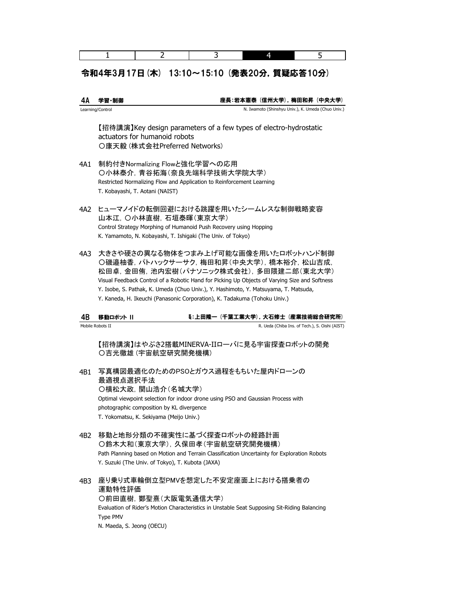## 令和4年3月17日(木) 13:10~15:10 (発表20分,質疑応答10分)

2 3

| 4Α   | 学習・制御                                                                                                                                                                   | 座長:岩本憲泰(信州大学),梅田和昇(中央大学)                                                                                                                                                                                                                                                                                           |
|------|-------------------------------------------------------------------------------------------------------------------------------------------------------------------------|--------------------------------------------------------------------------------------------------------------------------------------------------------------------------------------------------------------------------------------------------------------------------------------------------------------------|
|      | Learning/Control                                                                                                                                                        | N. Iwamoto (Shinshyu Univ.), K. Umeda (Chuo Univ.)                                                                                                                                                                                                                                                                 |
|      | actuators for humanoid robots<br>○康天毅 (株式会社Preferred Networks)                                                                                                          | 【招待講演】Key design parameters of a few types of electro-hydrostatic                                                                                                                                                                                                                                                  |
| 4A1  | 制約付きNormalizing Flowと強化学習への応用<br>○小林泰介, 青谷拓海(奈良先端科学技術大学院大学)<br>Restricted Normalizing Flow and Application to Reinforcement Learning<br>T. Kobayashi, T. Aotani (NAIST) |                                                                                                                                                                                                                                                                                                                    |
| 4A2. | 山本江, 〇小林直樹, 石垣泰暉(東京大学)<br>Control Strategy Morphing of Humanoid Push Recovery using Hopping<br>K. Yamamoto, N. Kobayashi, T. Ishigaki (The Univ. of Tokyo)              | ヒューマノイドの転倒回避における跳躍を用いたシームレスな制御戦略変容                                                                                                                                                                                                                                                                                 |
| 4A3  | Y. Kaneda, H. Ikeuchi (Panasonic Corporation), K. Tadakuma (Tohoku Univ.)                                                                                               | 大きさや硬さの異なる物体をつまみ上げ可能な画像を用いたロボットハンド制御<br>○磯邉柚香, パトハックサーサク, 梅田和昇(中央大学), 橋本裕介, 松山吉成,<br>松田卓,金田侑,池内宏樹(パナソニック株式会社),多田隈建二郎(東北大学)<br>Visual Feedback Control of a Robotic Hand for Picking Up Objects of Varying Size and Softness<br>Y. Isobe, S. Pathak, K. Umeda (Chuo Univ.), Y. Hashimoto, Y. Matsuyama, T. Matsuda, |
| 4B   | 移動ロボット                                                                                                                                                                  | €:上田隆一(千葉工業大学),大石修士(産業技術総合研究所)                                                                                                                                                                                                                                                                                     |
|      | Mobile Robots II                                                                                                                                                        | R. Ueda (Chiba Ins. of Tech.), S. Oishi (AIST)                                                                                                                                                                                                                                                                     |
|      | ○吉光徹雄 (宇宙航空研究開発機構)                                                                                                                                                      | 【招待講演】はやぶさ2搭載MINERVA-IIローバに見る宇宙探査ロボットの開発                                                                                                                                                                                                                                                                           |
| 4B1  | 最適視点選択手法<br>○横松大政, 関山浩介(名城大学)<br>photographic composition by KL divergence<br>T. Yokomatsu, K. Sekiyama (Meijo Univ.)                                                   | 写真構図最適化のためのPSOとガウス過程をもちいた屋内ドローンの<br>Optimal viewpoint selection for indoor drone using PSO and Gaussian Process with                                                                                                                                                                                               |
| 4B2  | 移動と地形分類の不確実性に基づく探査ロボットの経路計画<br>○鈴木大和(東京大学), 久保田孝(宇宙航空研究開発機構)<br>Y. Suzuki (The Univ. of Tokyo), T. Kubota (JAXA)                                                        | Path Planning based on Motion and Terrain Classification Uncertainty for Exploration Robots                                                                                                                                                                                                                        |
| 4B3  | 運動特性評価<br>○前田直樹, 鄭聖熹(大阪電気通信大学)<br>Type PMV                                                                                                                              | 座り乗り式車輪倒立型PMVを想定した不安定座面上における搭乗者の<br>Evaluation of Rider's Motion Characteristics in Unstable Seat Supposing Sit-Riding Balancing                                                                                                                                                                                   |

N. Maeda, S. Jeong (OECU)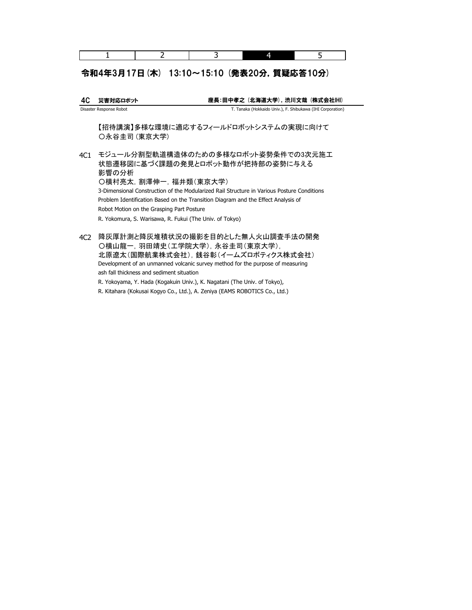### 令和4年3月17日(木) 13:10~15:10 (発表20分,質疑応答10分)

4C 災害対応ロボット Disaster Response Robot 座長:田中孝之 (北海道大学),渋川文哉 (株式会社IHI) T. Tanaka (Hokkaido Univ.), F. Shibukawa (IHI Corporation)

【招待講演】多様な環境に適応するフィールドロボットシステムの実現に向けて 〇永谷圭司 (東京大学)

4C1 モジュール分割型軌道構造体のための多様なロボット姿勢条件での3次元施工 状態遷移図に基づく課題の発見とロボット動作が把持部の姿勢に与える Problem Identification Based on the Transition Diagram and the Effect Analysis of R. Yokomura, S. Warisawa, R. Fukui (The Univ. of Tokyo) 影響の分析 Robot Motion on the Grasping Part Posture 〇横村亮太,割澤伸一,福井類(東京大学) 3-Dimensional Construction of the Modularized Rail Structure in Various Posture Conditions

4C2 降灰厚計測と降灰堆積状況の撮影を目的とした無人火山調査手法の開発 〇横山龍一,羽田靖史(工学院大学),永谷圭司(東京大学), Development of an unmanned volcanic survey method for the purpose of measuring 北原遼太(国際航業株式会社),銭谷彰(イームズロボティクス株式会社) ash fall thickness and sediment situation

R. Yokoyama, Y. Hada (Kogakuin Univ.), K. Nagatani (The Univ. of Tokyo),

R. Kitahara (Kokusai Kogyo Co., Ltd.), A. Zeniya (EAMS ROBOTICS Co., Ltd.)